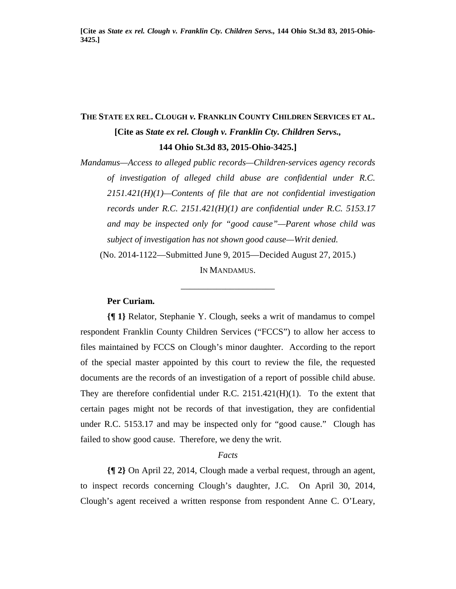# **THE STATE EX REL. CLOUGH** *v.* **FRANKLIN COUNTY CHILDREN SERVICES ET AL. [Cite as** *State ex rel. Clough v. Franklin Cty. Children Servs.,* **144 Ohio St.3d 83, 2015-Ohio-3425.]**

*Mandamus—Access to alleged public records—Children-services agency records of investigation of alleged child abuse are confidential under R.C. 2151.421(H)(1)—Contents of file that are not confidential investigation records under R.C. 2151.421(H)(1) are confidential under R.C. 5153.17 and may be inspected only for "good cause"—Parent whose child was subject of investigation has not shown good cause—Writ denied.* (No. 2014-1122—Submitted June 9, 2015—Decided August 27, 2015.)

IN MANDAMUS.

\_\_\_\_\_\_\_\_\_\_\_\_\_\_\_\_\_\_\_\_\_

## **Per Curiam.**

**{¶ 1}** Relator, Stephanie Y. Clough, seeks a writ of mandamus to compel respondent Franklin County Children Services ("FCCS") to allow her access to files maintained by FCCS on Clough's minor daughter. According to the report of the special master appointed by this court to review the file, the requested documents are the records of an investigation of a report of possible child abuse. They are therefore confidential under R.C. 2151.421(H)(1). To the extent that certain pages might not be records of that investigation, they are confidential under R.C. 5153.17 and may be inspected only for "good cause." Clough has failed to show good cause. Therefore, we deny the writ.

#### *Facts*

**{¶ 2}** On April 22, 2014, Clough made a verbal request, through an agent, to inspect records concerning Clough's daughter, J.C. On April 30, 2014, Clough's agent received a written response from respondent Anne C. O'Leary,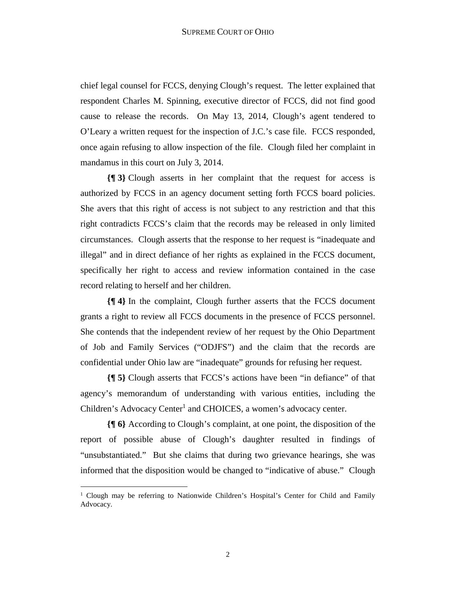chief legal counsel for FCCS, denying Clough's request. The letter explained that respondent Charles M. Spinning, executive director of FCCS, did not find good cause to release the records. On May 13, 2014, Clough's agent tendered to O'Leary a written request for the inspection of J.C.'s case file. FCCS responded, once again refusing to allow inspection of the file. Clough filed her complaint in mandamus in this court on July 3, 2014.

**{¶ 3}** Clough asserts in her complaint that the request for access is authorized by FCCS in an agency document setting forth FCCS board policies. She avers that this right of access is not subject to any restriction and that this right contradicts FCCS's claim that the records may be released in only limited circumstances. Clough asserts that the response to her request is "inadequate and illegal" and in direct defiance of her rights as explained in the FCCS document, specifically her right to access and review information contained in the case record relating to herself and her children.

**{¶ 4}** In the complaint, Clough further asserts that the FCCS document grants a right to review all FCCS documents in the presence of FCCS personnel. She contends that the independent review of her request by the Ohio Department of Job and Family Services ("ODJFS") and the claim that the records are confidential under Ohio law are "inadequate" grounds for refusing her request.

**{¶ 5}** Clough asserts that FCCS's actions have been "in defiance" of that agency's memorandum of understanding with various entities, including the Children's Advocacy Center<sup>1</sup> and CHOICES, a women's advocacy center.

**{¶ 6}** According to Clough's complaint, at one point, the disposition of the report of possible abuse of Clough's daughter resulted in findings of "unsubstantiated." But she claims that during two grievance hearings, she was informed that the disposition would be changed to "indicative of abuse." Clough

-

<sup>&</sup>lt;sup>1</sup> Clough may be referring to Nationwide Children's Hospital's Center for Child and Family Advocacy.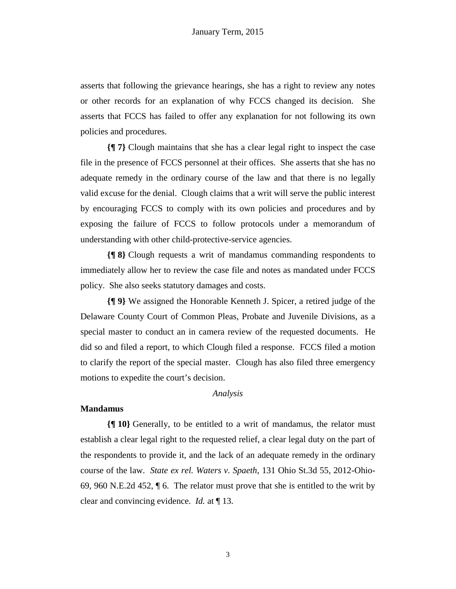asserts that following the grievance hearings, she has a right to review any notes or other records for an explanation of why FCCS changed its decision. She asserts that FCCS has failed to offer any explanation for not following its own policies and procedures.

**{¶ 7}** Clough maintains that she has a clear legal right to inspect the case file in the presence of FCCS personnel at their offices. She asserts that she has no adequate remedy in the ordinary course of the law and that there is no legally valid excuse for the denial. Clough claims that a writ will serve the public interest by encouraging FCCS to comply with its own policies and procedures and by exposing the failure of FCCS to follow protocols under a memorandum of understanding with other child-protective-service agencies.

**{¶ 8}** Clough requests a writ of mandamus commanding respondents to immediately allow her to review the case file and notes as mandated under FCCS policy. She also seeks statutory damages and costs.

**{¶ 9}** We assigned the Honorable Kenneth J. Spicer, a retired judge of the Delaware County Court of Common Pleas, Probate and Juvenile Divisions, as a special master to conduct an in camera review of the requested documents. He did so and filed a report, to which Clough filed a response. FCCS filed a motion to clarify the report of the special master. Clough has also filed three emergency motions to expedite the court's decision.

### *Analysis*

#### **Mandamus**

**{¶ 10}** Generally, to be entitled to a writ of mandamus, the relator must establish a clear legal right to the requested relief, a clear legal duty on the part of the respondents to provide it, and the lack of an adequate remedy in the ordinary course of the law. *State ex rel. Waters v. Spaeth*, 131 Ohio St.3d 55, 2012-Ohio-69, 960 N.E.2d 452, ¶ 6. The relator must prove that she is entitled to the writ by clear and convincing evidence. *Id.* at ¶ 13.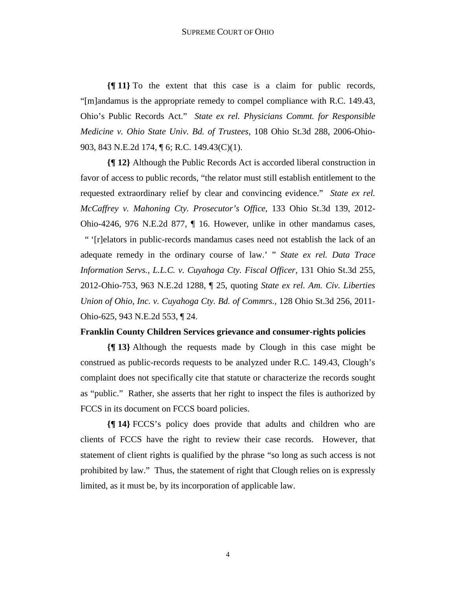**{¶ 11}** To the extent that this case is a claim for public records, "[m]andamus is the appropriate remedy to compel compliance with R.C. 149.43, Ohio's Public Records Act." *State ex rel. Physicians Commt. for Responsible Medicine v. Ohio State Univ. Bd. of Trustees*, 108 Ohio St.3d 288, 2006-Ohio-903, 843 N.E.2d 174, ¶ 6; R.C. 149.43(C)(1).

**{¶ 12}** Although the Public Records Act is accorded liberal construction in favor of access to public records, "the relator must still establish entitlement to the requested extraordinary relief by clear and convincing evidence." *State ex rel. McCaffrey v. Mahoning Cty. Prosecutor's Office*, 133 Ohio St.3d 139, 2012- Ohio-4246, 976 N.E.2d 877, ¶ 16. However, unlike in other mandamus cases, " '[r]elators in public-records mandamus cases need not establish the lack of an adequate remedy in the ordinary course of law.' " *State ex rel. Data Trace Information Servs., L.L.C. v. Cuyahoga Cty. Fiscal Officer*, 131 Ohio St.3d 255, 2012-Ohio-753, 963 N.E.2d 1288, ¶ 25, quoting *State ex rel. Am. Civ. Liberties Union of Ohio, Inc. v. Cuyahoga Cty. Bd. of Commrs.,* 128 Ohio St.3d 256, 2011- Ohio-625, 943 N.E.2d 553, ¶ 24.

### **Franklin County Children Services grievance and consumer-rights policies**

**{¶ 13}** Although the requests made by Clough in this case might be construed as public-records requests to be analyzed under R.C. 149.43, Clough's complaint does not specifically cite that statute or characterize the records sought as "public." Rather, she asserts that her right to inspect the files is authorized by FCCS in its document on FCCS board policies.

**{¶ 14}** FCCS's policy does provide that adults and children who are clients of FCCS have the right to review their case records. However, that statement of client rights is qualified by the phrase "so long as such access is not prohibited by law." Thus, the statement of right that Clough relies on is expressly limited, as it must be, by its incorporation of applicable law.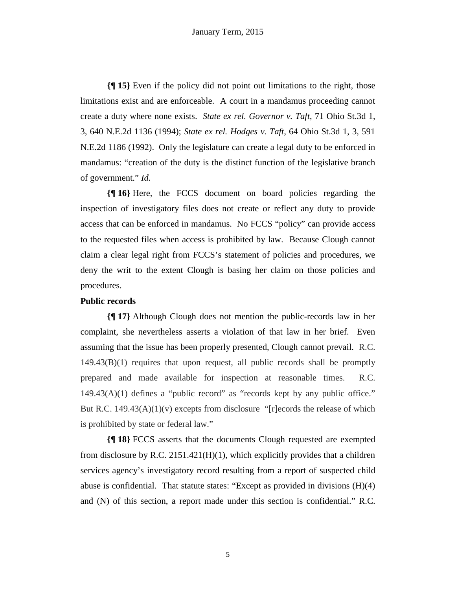**{¶ 15}** Even if the policy did not point out limitations to the right, those limitations exist and are enforceable. A court in a mandamus proceeding cannot create a duty where none exists. *State ex rel. Governor v. Taft*, 71 Ohio St.3d 1, 3, 640 N.E.2d 1136 (1994); *State ex rel. Hodges v. Taft*, 64 Ohio St.3d 1, 3, 591 N.E.2d 1186 (1992). Only the legislature can create a legal duty to be enforced in mandamus: "creation of the duty is the distinct function of the legislative branch of government." *Id.* 

**{¶ 16}** Here, the FCCS document on board policies regarding the inspection of investigatory files does not create or reflect any duty to provide access that can be enforced in mandamus. No FCCS "policy" can provide access to the requested files when access is prohibited by law. Because Clough cannot claim a clear legal right from FCCS's statement of policies and procedures, we deny the writ to the extent Clough is basing her claim on those policies and procedures.

#### **Public records**

**{¶ 17}** Although Clough does not mention the public-records law in her complaint, she nevertheless asserts a violation of that law in her brief. Even assuming that the issue has been properly presented, Clough cannot prevail. R.C. 149.43(B)(1) requires that upon request, all public records shall be promptly prepared and made available for inspection at reasonable times. R.C.  $149.43(A)(1)$  defines a "public record" as "records kept by any public office." But R.C.  $149.43(A)(1)(v)$  excepts from disclosure "[r]ecords the release of which is prohibited by state or federal law."

**{¶ 18}** FCCS asserts that the documents Clough requested are exempted from disclosure by R.C.  $2151.421(H)(1)$ , which explicitly provides that a children services agency's investigatory record resulting from a report of suspected child abuse is confidential. That statute states: "Except as provided in divisions (H)(4) and (N) of this section, a report made under this section is confidential." R.C.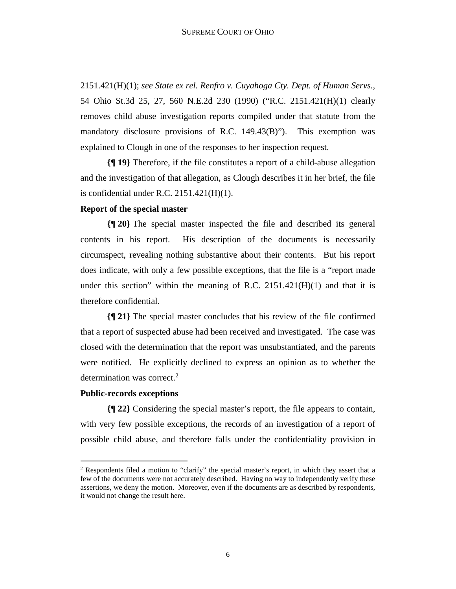2151.421(H)(1); *see State ex rel. Renfro v. Cuyahoga Cty. Dept. of Human Servs.*, 54 Ohio St.3d 25, 27, 560 N.E.2d 230 (1990) ("R.C. 2151.421(H)(1) clearly removes child abuse investigation reports compiled under that statute from the mandatory disclosure provisions of R.C. 149.43(B)"). This exemption was explained to Clough in one of the responses to her inspection request.

**{¶ 19}** Therefore, if the file constitutes a report of a child-abuse allegation and the investigation of that allegation, as Clough describes it in her brief, the file is confidential under R.C.  $2151.421(H)(1)$ .

# **Report of the special master**

**{¶ 20}** The special master inspected the file and described its general contents in his report. His description of the documents is necessarily circumspect, revealing nothing substantive about their contents. But his report does indicate, with only a few possible exceptions, that the file is a "report made under this section" within the meaning of R.C.  $2151.421(H)(1)$  and that it is therefore confidential.

**{¶ 21}** The special master concludes that his review of the file confirmed that a report of suspected abuse had been received and investigated. The case was closed with the determination that the report was unsubstantiated, and the parents were notified. He explicitly declined to express an opinion as to whether the determination was correct.<sup>2</sup>

#### **Public-records exceptions**

 $\overline{a}$ 

**{¶ 22}** Considering the special master's report, the file appears to contain, with very few possible exceptions, the records of an investigation of a report of possible child abuse, and therefore falls under the confidentiality provision in

<sup>&</sup>lt;sup>2</sup> Respondents filed a motion to "clarify" the special master's report, in which they assert that a few of the documents were not accurately described. Having no way to independently verify these assertions, we deny the motion. Moreover, even if the documents are as described by respondents, it would not change the result here.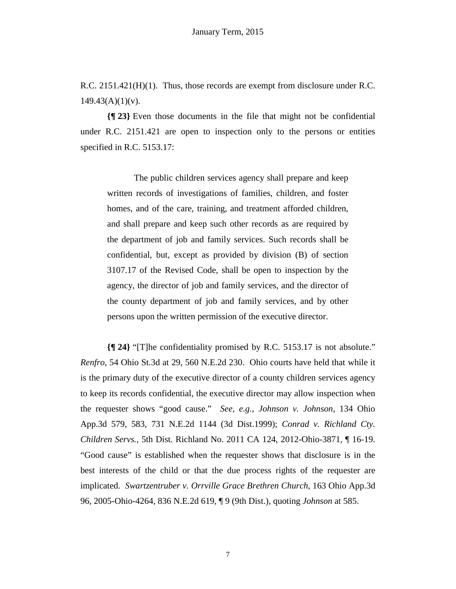R.C. 2151.421(H)(1). Thus, those records are exempt from disclosure under R.C.  $149.43(A)(1)(v)$ .

**{¶ 23}** Even those documents in the file that might not be confidential under R.C. 2151.421 are open to inspection only to the persons or entities specified in R.C. 5153.17:

The public children services agency shall prepare and keep written records of investigations of families, children, and foster homes, and of the care, training, and treatment afforded children, and shall prepare and keep such other records as are required by the department of job and family services. Such records shall be confidential, but, except as provided by division (B) of section 3107.17 of the Revised Code, shall be open to inspection by the agency, the director of job and family services, and the director of the county department of job and family services, and by other persons upon the written permission of the executive director.

**{¶ 24}** "[T]he confidentiality promised by R.C. 5153.17 is not absolute." *Renfro,* 54 Ohio St.3d at 29, 560 N.E.2d 230. Ohio courts have held that while it is the primary duty of the executive director of a county children services agency to keep its records confidential, the executive director may allow inspection when the requester shows "good cause." *See, e.g., Johnson v. Johnson,* 134 Ohio App.3d 579, 583, 731 N.E.2d 1144 (3d Dist.1999); *Conrad v. Richland Cty. Children Servs.,* 5th Dist. Richland No. 2011 CA 124, 2012-Ohio-3871, ¶ 16-19. "Good cause" is established when the requester shows that disclosure is in the best interests of the child or that the due process rights of the requester are implicated. *Swartzentruber v. Orrville Grace Brethren Church*, 163 Ohio App.3d 96, 2005-Ohio-4264, 836 N.E.2d 619, ¶ 9 (9th Dist.), quoting *Johnson* at 585.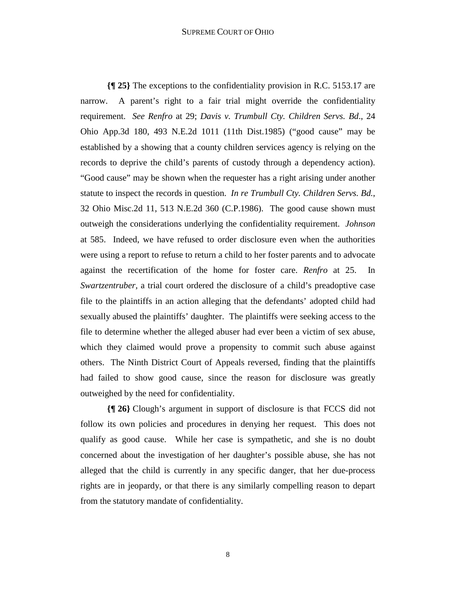#### SUPREME COURT OF OHIO

**{¶ 25}** The exceptions to the confidentiality provision in R.C. 5153.17 are narrow. A parent's right to a fair trial might override the confidentiality requirement. *See Renfro* at 29; *Davis v. Trumbull Cty. Children Servs. Bd*., 24 Ohio App.3d 180, 493 N.E.2d 1011 (11th Dist.1985) ("good cause" may be established by a showing that a county children services agency is relying on the records to deprive the child's parents of custody through a dependency action). "Good cause" may be shown when the requester has a right arising under another statute to inspect the records in question. *In re Trumbull Cty. Children Servs. Bd.*, 32 Ohio Misc.2d 11, 513 N.E.2d 360 (C.P.1986). The good cause shown must outweigh the considerations underlying the confidentiality requirement. *Johnson*  at 585. Indeed, we have refused to order disclosure even when the authorities were using a report to refuse to return a child to her foster parents and to advocate against the recertification of the home for foster care. *Renfro* at 25. In *Swartzentruber,* a trial court ordered the disclosure of a child's preadoptive case file to the plaintiffs in an action alleging that the defendants' adopted child had sexually abused the plaintiffs' daughter. The plaintiffs were seeking access to the file to determine whether the alleged abuser had ever been a victim of sex abuse, which they claimed would prove a propensity to commit such abuse against others. The Ninth District Court of Appeals reversed, finding that the plaintiffs had failed to show good cause, since the reason for disclosure was greatly outweighed by the need for confidentiality.

**{¶ 26}** Clough's argument in support of disclosure is that FCCS did not follow its own policies and procedures in denying her request. This does not qualify as good cause. While her case is sympathetic, and she is no doubt concerned about the investigation of her daughter's possible abuse, she has not alleged that the child is currently in any specific danger, that her due-process rights are in jeopardy, or that there is any similarly compelling reason to depart from the statutory mandate of confidentiality.